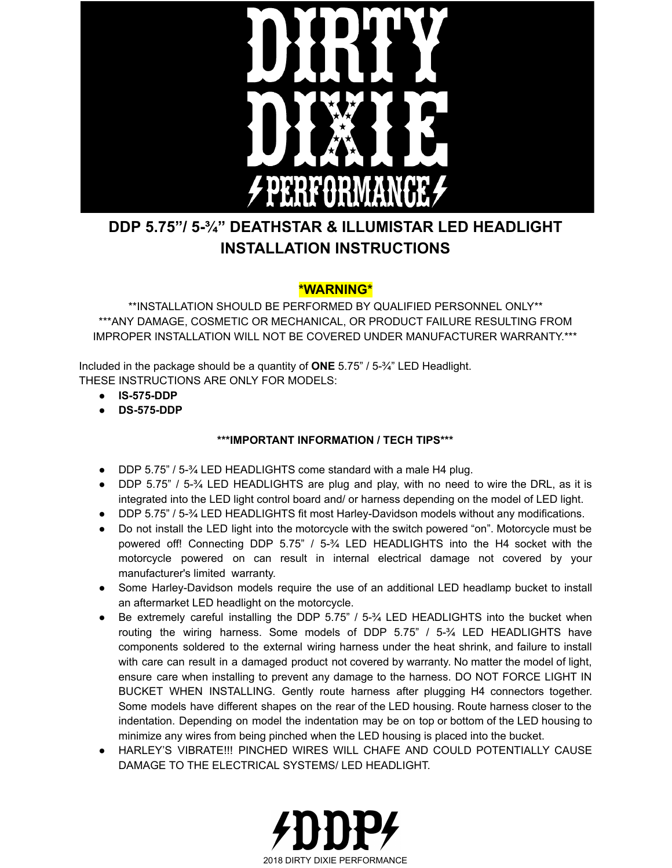

### **DDP 5.75"/ 5-¾" DEATHSTAR & ILLUMISTAR LED HEADLIGHT INSTALLATION INSTRUCTIONS**

### **\*WARNING\***

\*\*INSTALLATION SHOULD BE PERFORMED BY QUALIFIED PERSONNEL ONLY\*\* \*\*\*ANY DAMAGE, COSMETIC OR MECHANICAL, OR PRODUCT FAILURE RESULTING FROM IMPROPER INSTALLATION WILL NOT BE COVERED UNDER MANUFACTURER WARRANTY.\*\*\*

Included in the package should be a quantity of **ONE** 5.75" / 5-¾" LED Headlight. THESE INSTRUCTIONS ARE ONLY FOR MODELS:

- **● IS-575-DDP**
- **● DS-575-DDP**

### **\*\*\*IMPORTANT INFORMATION / TECH TIPS\*\*\***

- DDP 5.75" / 5-3⁄4 LED HEADLIGHTS come standard with a male H4 plug.
- DDP 5.75" / 5-<sup>3</sup>/4 LED HEADLIGHTS are plug and play, with no need to wire the DRL, as it is integrated into the LED light control board and/ or harness depending on the model of LED light.
- DDP 5.75" / 5-¾ LED HEADLIGHTS fit most Harley-Davidson models without any modifications.
- Do not install the LED light into the motorcycle with the switch powered "on". Motorcycle must be powered off! Connecting DDP 5.75" / 5-¾ LED HEADLIGHTS into the H4 socket with the motorcycle powered on can result in internal electrical damage not covered by your manufacturer's limited warranty.
- Some Harley-Davidson models require the use of an additional LED headlamp bucket to install an aftermarket LED headlight on the motorcycle.
- Be extremely careful installing the DDP 5.75" / 5-¼ LED HEADLIGHTS into the bucket when routing the wiring harness. Some models of DDP 5.75" / 5-¾ LED HEADLIGHTS have components soldered to the external wiring harness under the heat shrink, and failure to install with care can result in a damaged product not covered by warranty. No matter the model of light, ensure care when installing to prevent any damage to the harness. DO NOT FORCE LIGHT IN BUCKET WHEN INSTALLING. Gently route harness after plugging H4 connectors together. Some models have different shapes on the rear of the LED housing. Route harness closer to the indentation. Depending on model the indentation may be on top or bottom of the LED housing to minimize any wires from being pinched when the LED housing is placed into the bucket.
- HARLEY'S VIBRATE!!! PINCHED WIRES WILL CHAFE AND COULD POTENTIALLY CAUSE DAMAGE TO THE ELECTRICAL SYSTEMS/ LED HEADLIGHT.

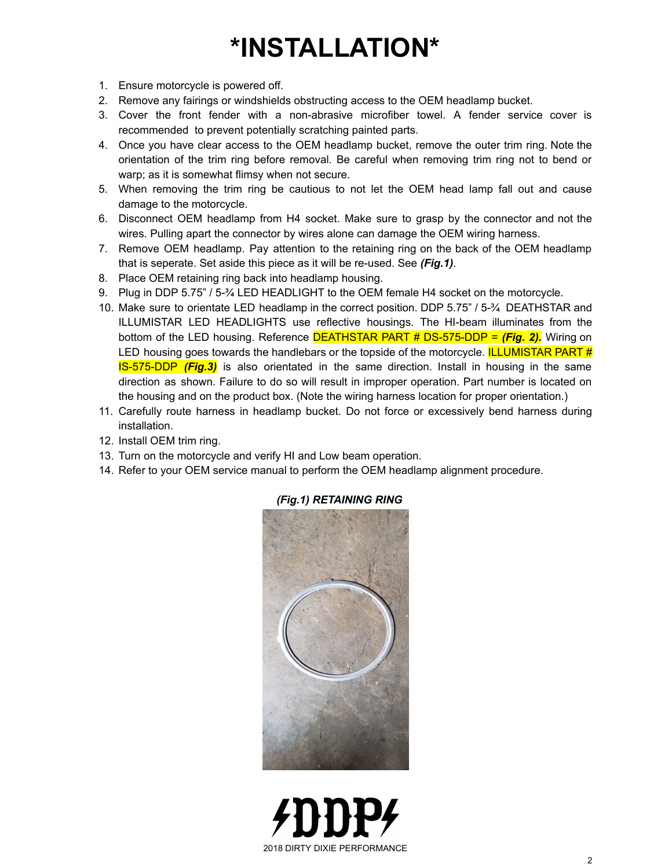# **\*INSTALLATION\***

- 1. Ensure motorcycle is powered off.
- 2. Remove any fairings or windshields obstructing access to the OEM headlamp bucket.
- 3. Cover the front fender with a non-abrasive microfiber towel. A fender service cover is recommended to prevent potentially scratching painted parts.
- 4. Once you have clear access to the OEM headlamp bucket, remove the outer trim ring. Note the orientation of the trim ring before removal. Be careful when removing trim ring not to bend or warp; as it is somewhat flimsy when not secure.
- 5. When removing the trim ring be cautious to not let the OEM head lamp fall out and cause damage to the motorcycle.
- 6. Disconnect OEM headlamp from H4 socket. Make sure to grasp by the connector and not the wires. Pulling apart the connector by wires alone can damage the OEM wiring harness.
- 7. Remove OEM headlamp. Pay attention to the retaining ring on the back of the OEM headlamp that is seperate. Set aside this piece as it will be re-used. See *(Fig.1)*.
- 8. Place OEM retaining ring back into headlamp housing.
- 9. Plug in DDP 5.75" / 5-34 LED HEADLIGHT to the OEM female H4 socket on the motorcycle.
- 10. Make sure to orientate LED headlamp in the correct position. DDP 5.75" / 5-¾ DEATHSTAR and ILLUMISTAR LED HEADLIGHTS use reflective housings. The HI-beam illuminates from the bottom of the LED housing. Reference DEATHSTAR PART # DS-575-DDP = *(Fig. 2).* Wiring on LED housing goes towards the handlebars or the topside of the motorcycle. **ILLUMISTAR PART #** IS-575-DDP *(Fig.3)* is also orientated in the same direction. Install in housing in the same direction as shown. Failure to do so will result in improper operation. Part number is located on the housing and on the product box. (Note the wiring harness location for proper orientation.)
- 11. Carefully route harness in headlamp bucket. Do not force or excessively bend harness during installation.
- 12. Install OEM trim ring.
- 13. Turn on the motorcycle and verify HI and Low beam operation.
- 14. Refer to your OEM service manual to perform the OEM headlamp alignment procedure.



#### *(Fig.1) RETAINING RING*